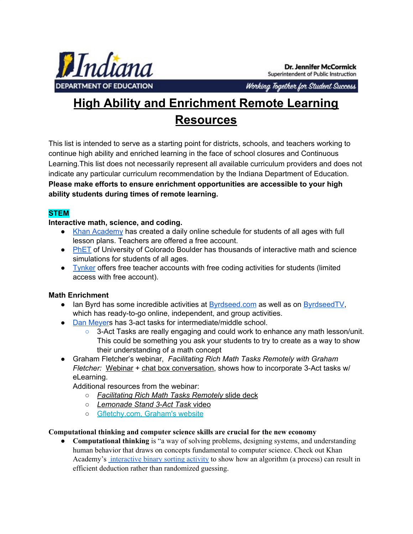

**Dr. Jennifer McCormick** Superintendent of Public Instruction

Working Together for Student Success

# **High Ability and Enrichment Remote Learning Resources**

This list is intended to serve as a starting point for districts, schools, and teachers working to continue high ability and enriched learning in the face of school closures and Continuous Learning.This list does not necessarily represent all available curriculum providers and does not indicate any particular curriculum recommendation by the Indiana Department of Education. **Please make efforts to ensure enrichment opportunities are accessible to your high ability students during times of remote learning.**

## **STEM**

**Interactive math, science, and coding.**

- Khan [Academy](https://www.khanacademy.org/) has created a daily online schedule for students of all ages with full lesson plans. Teachers are offered a free account.
- **●** [PhET](https://phet.colorado.edu/_m/) of University of Colorado Boulder has thousands of interactive math and science simulations for students of all ages.
- **●** [Tynker](https://mailchi.mp/tynker/in-support-of-schools-facing-health-related-closure) offers free teacher accounts with free coding activities for students (limited access with free account).

## **Math Enrichment**

- Ian Byrd has some incredible activities at [Byrdseed.com](https://www.byrdseed.com/category/differentiating/differentiating-math/) as well as on [ByrdseedTV,](https://www.byrdseed.tv/open/) which has ready-to-go online, independent, and group activities.
- Dan [Meyers](https://tapintoteenminds.com/3acts-by-author/danmeyer/) has 3-act tasks for intermediate/middle school.
	- 3-Act Tasks are really engaging and could work to enhance any math lesson/unit. This could be something you ask your students to try to create as a way to show their understanding of a math concept
- Graham Fletcher's webinar, *Facilitating Rich Math Tasks Remotely with Graham Fletcher:* [Webinar](https://email.stenhouse.com/e2t/c/*VQg5dy1Lm8DXN1sWG3NpHMJ50/*VmJw5q16cS7VW1j_xhy53_Gnh0/5/f18dQhb0Sjv68XJ8QKN8m1BT-HyjJqVRbwr02B8hr0N3hHhdcXL0jYVnQ9Qq8-yh0BW7r9rJs1Sh_SNW8-vMHJ5-b774W8Fdh1C8k1dMQVpSBF38Wh-pHW1VwTtx8X4jwQVtn84Q2MtMxTW3S_FsY61N4MXW47YlYy4bfcHbW47Xx4z3C8dd2W5-GNDd3VKVtLW6nGl8C2PS9sYW2HT8mr6l4SF7W1gvjSz3CCcp1V4cNXy75WRHJVrsDJS6kf3mRW5Trp677jd1SzW1v3nlW1LkcQqW6s6X2G8tJBtfW7KtZjs8gr4QJW8PPXrF6WB5NyW6sC3tz9kt7yMW6VYbS66zY4JgW44pm6M6wdmgCW2n6wnG8MRpv4W8tFl3K7DmC7gW4K5k_y5gSHY5W6H5W1X83pRwlVVR6H24q1HYJM9sXlZKV0RfW31GGwB1TxS_WW8X1g2d61lPZvW25VbYf8YV7zWN4ZHbBb4hmNpW8F6Y5W2HY0xRW66rK227C2FbRW7D7Hxj1Dy_KCW31RgY22F3MK-0) + chat box [conversation](https://email.stenhouse.com/e2t/c/*VQg5dy1Lm8DXN1sWG3NpHMJ50/*W5RBGyS35PXB3W5VlTmn5nhFbF0/5/f18dQhb0S5fh9c-mnRW7lZLqW1k63-nW1Fp0T056kCZZW6BlzkW1Vq7GqVLDpF18B-Wz0VZ6Q4W1p7ybxW5yLrhL5wMw-5W3TJNmM3MhxWTW1q7CgJ1JDdKTW2z8-8t1wpnt7W6_kpNJ2jJ4vnW89jg391rdPJ9W13xV0b5zDlqzW49wcVJ5lq3qSN2Q212xsMSBFN2s3dhLYn-VKW6PGyG657TP5bW6yFTfZ1T_sygW2LChlR8xjSJfW7CLQ-x6tClrrW58R2pq1GlVNbW7BQCDf8LMvtFW5Vd5jP2_1lbgW5rcZX12-294gW5J0bHm1y7l3tW5F_2Jd3XsqW0W5pfw1S5mg0ggW1CN5VS5jPVDHN1Rhmf4bq5fxN4TKc2lRYJWvW3hnfTf2pLVkHW5cmGjy2-6ljXW3sF12t3B6XbKW7zk96g63T1FNW7cLgF28dtZ_VW4s2N7j3z4g8tW9hRq7m4qMxVBW3MNN4J86QMgJW3Jkp4f4Mf0T2W86znHk7zbfMSN5XBTQB35cH2W1bBvW33_5Xh9W6LLGbs1NFfl4N8P4pWBlXqdhW1rM1Ld61lNw-W3L3hx98sZ3NqW2GD9D749NrVJN8xFqgpzdYMCVbxTtD7Z6ZkbW5mSCwh2XMw9vW5Q1gBq5V9WFRW3f5_rb165rsHf6crj3604), shows how to incorporate 3-Act tasks w/ eLearning.

Additional resources from the webinar:

- *[Facilitating](https://email.stenhouse.com/e2t/c/*VQg5dy1Lm8DXN1sWG3NpHMJ50/*W2smfVt76qCDfW1WM1DH7Gp4pC0/5/f18dQhb0S5fj9c-mnRW7lZLqW1k63-nW1Fp0T056kCZZW6Blzm41Vq7GqVLDpF18B-Wz0VZ6Q4W1p7ybxW5yLrhL5wMw-5W3TJNmM3MhxWTW1q7CgJ1JDdKTW2z8-8t1wpnt7W6_kpNJ2jJ4vnW89jg391rdPJ9W13xV0b5zDlqzW49wcVJ5lq3qSN2Q212xsMSBFN2s3dhLYn-VKW6PGyG657TP5bW6yFTfZ1T_sygW1zt0BP2HnZX9W2FF0DN1HltsQW2VtC3z7t5r0hW4TF4lQ7xcvRTW5lpBxZ1GmwJ3W7vPVHQ7w4nLlW3yy-Cj2Rxr-sW7wVBbH5qBBjQW1BqcjB6tpThgW5Wd0bF5ZQqRgW806yj370ml3sW3pBM_T5fv5ZdW8h8d7X3PNrj4N717PDxLRD1yN83rF837K9ZvW4nqTVD6WHVLDW7ChfqC6sKMtPW89mm-82ZQX3kW7q0Rc02Qlp5PW2cfgF-5hvNckW5gDJTP4nFMG0W35xr2v5hLs9pW4JyxPg2DbVk7W5DhyW918TP76N11rnNb4VjkTW6N33WV8VC-55W13TmPQ8ZQ3vnN7KdbVlWDM00W2vD9kS979WBfW7kGLDm56fphkW7CfqJY4kp2b_N7b0PBfyd7N1W3y19vM3wMXFCT_08-3xLDBb103) Rich Math Tasks Remotely* [slide](https://email.stenhouse.com/e2t/c/*VQg5dy1Lm8DXN1sWG3NpHMJ50/*W2smfVt76qCDfW1WM1DH7Gp4pC0/5/f18dQhb0S5fj9c-mnRW7lZLqW1k63-nW1Fp0T056kCZZW6Blzm41Vq7GqVLDpF18B-Wz0VZ6Q4W1p7ybxW5yLrhL5wMw-5W3TJNmM3MhxWTW1q7CgJ1JDdKTW2z8-8t1wpnt7W6_kpNJ2jJ4vnW89jg391rdPJ9W13xV0b5zDlqzW49wcVJ5lq3qSN2Q212xsMSBFN2s3dhLYn-VKW6PGyG657TP5bW6yFTfZ1T_sygW1zt0BP2HnZX9W2FF0DN1HltsQW2VtC3z7t5r0hW4TF4lQ7xcvRTW5lpBxZ1GmwJ3W7vPVHQ7w4nLlW3yy-Cj2Rxr-sW7wVBbH5qBBjQW1BqcjB6tpThgW5Wd0bF5ZQqRgW806yj370ml3sW3pBM_T5fv5ZdW8h8d7X3PNrj4N717PDxLRD1yN83rF837K9ZvW4nqTVD6WHVLDW7ChfqC6sKMtPW89mm-82ZQX3kW7q0Rc02Qlp5PW2cfgF-5hvNckW5gDJTP4nFMG0W35xr2v5hLs9pW4JyxPg2DbVk7W5DhyW918TP76N11rnNb4VjkTW6N33WV8VC-55W13TmPQ8ZQ3vnN7KdbVlWDM00W2vD9kS979WBfW7kGLDm56fphkW7CfqJY4kp2b_N7b0PBfyd7N1W3y19vM3wMXFCT_08-3xLDBb103) deck
- *[Lemonade](https://email.stenhouse.com/e2t/c/*VQg5dy1Lm8DXN1sWG3NpHMJ50/*W3k9bH04_TL7ZW4CHkb_7BMTtG0/5/f18dQhb0Sjvh8YHsJYN8m1BT-HyjJqVRbwr02B8hr0W3hHh8k2P7_nXVcnTGj993LHSW69M3hZ5sYwFXW6PZcT16PYW_cW1xc2fr1n3rhwW999f656PVKcrW6N3nBL8xGZLCW62LXJV5CRk-gW2z8XPN7lVgB0W65W-qQ6NGdfzW6hQB_Y1tmXX4W5-2t5m20Wxs7W59R95020Y98hW1Yg1Qd2Y7Dl7W6pzHWB79p919W2tk5vH2zvNzVW403tVS3vbpkwW6nlCJR2CMPd1W47Bkm76yZ95lW3xz90_53swGJW41L1mc4LqytqW6SP56X3slG7_W3P8lZK3dmnhgW43Jqdv68sV-mW3K0q5w64cXMPW5Q8FdC2FMBStW2Gj6H_6SVRNQW6djYL72FTYkwW2lNNrw1jCFWnN2PGKtHzs6j-MwKJnC3qXXxW3nxMbf96mqvfVwZ6q_4tWxJRN8yG5lPsjV00W5XTx7_4yCVNSW8mn3ZC2B69F3W3P7rCn6TdLfqW8hyCry4Z90kcW1NwBMn1MVsRjTFsgd4--0_Y103) Stand 3-Act Task* [video](https://email.stenhouse.com/e2t/c/*VQg5dy1Lm8DXN1sWG3NpHMJ50/*W3k9bH04_TL7ZW4CHkb_7BMTtG0/5/f18dQhb0Sjvh8YHsJYN8m1BT-HyjJqVRbwr02B8hr0W3hHh8k2P7_nXVcnTGj993LHSW69M3hZ5sYwFXW6PZcT16PYW_cW1xc2fr1n3rhwW999f656PVKcrW6N3nBL8xGZLCW62LXJV5CRk-gW2z8XPN7lVgB0W65W-qQ6NGdfzW6hQB_Y1tmXX4W5-2t5m20Wxs7W59R95020Y98hW1Yg1Qd2Y7Dl7W6pzHWB79p919W2tk5vH2zvNzVW403tVS3vbpkwW6nlCJR2CMPd1W47Bkm76yZ95lW3xz90_53swGJW41L1mc4LqytqW6SP56X3slG7_W3P8lZK3dmnhgW43Jqdv68sV-mW3K0q5w64cXMPW5Q8FdC2FMBStW2Gj6H_6SVRNQW6djYL72FTYkwW2lNNrw1jCFWnN2PGKtHzs6j-MwKJnC3qXXxW3nxMbf96mqvfVwZ6q_4tWxJRN8yG5lPsjV00W5XTx7_4yCVNSW8mn3ZC2B69F3W3P7rCn6TdLfqW8hyCry4Z90kcW1NwBMn1MVsRjTFsgd4--0_Y103)
- [Gfletchy.com,](https://email.stenhouse.com/e2t/c/*VQg5dy1Lm8DXN1sWG3NpHMJ50/*W4cL7-H4ndG54W7YzPvQ1kQ4Lq0/5/f18dQhb0S5fp8XJ9l8N8m1BT-HyjJqVRbwr02B8hr0N3hHh8GXL0jYVnQ9Qq8_212FW30nfKw1zN8kJW4dQb0w2MTPSyVKng6q1Wg4bjW5MlGHB30b0qzN36Q7SvHG7rFW34lxzq3sm3XWW2FMzsq3SQgn2W3_CV3g3V_TcnW5bnH9Y2w15NMW3M3Kx560RkcxW4Dl4vz3sxGzCW8-s5sX94pXZFW1Kshhy2DzCtRW1yBHkJ34SJlvN8hGQ6sqwb-4W94Qty97Hw7mJW7jlB4R31P-z-W3xlkln7LNWk4W3cg49d8ckYVvW3y7yHM79lQ2lW7B_tF84N4ZjKW56JFNf4JH8qgW66Dh6r1yPTGMW8T7z3g5mb284W7LjNhb3BXkKfW6PbQCh85nn0xVVR6H24q1HYJM9sXlZKV0RfW31GGwB1TxS_WW8X1g2d61lPZvW25VbYf8YV7zWN4ZHbBb4hmNpW8F6Y5W2HY0xRW66rK227C2FbRW7D7Hxj1Dy_KCW7j56B-2qdtJT0) Graham's website

## **Computational thinking and computer science skills are crucial for the new economy**

**● Computational thinking** is "a way of solving problems, designing systems, and understanding human behavior that draws on concepts fundamental to computer science. Check out Khan Academy's [interactive](https://www.gettingsmart.com/2018/02/advancing-computational-thinking-across-k-12-education/) binary sorting activity to show how an algorithm (a process) can result in efficient deduction rather than randomized guessing.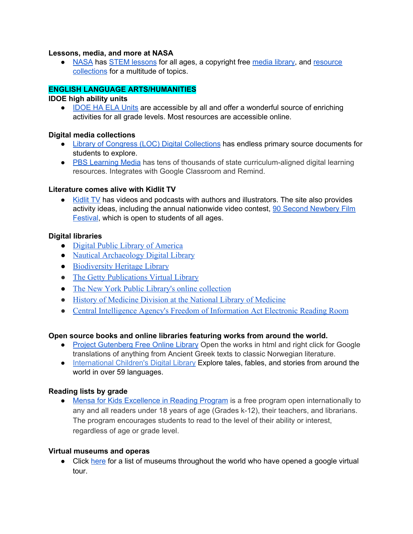#### **Lessons, media, and more at NASA**

● [NASA](https://www.nasa.gov/) has STEM [lessons](https://www.nasa.gov/stem) for all ages, a copyright free [media](https://www.diyphotography.net/nasa-makes-entire-media-library-publicly-accessible-copyright-free/) library, and [resource](https://www.nasa.gov/tags) [collections](https://www.nasa.gov/tags) for a multitude of topics.

#### **ENGLISH LANGUAGE ARTS/HUMANITIES**

#### **IDOE high ability units**

**●** [IDOE](https://www.doe.in.gov/highability/idoe-ha-ela-units) HA ELA Units are accessible by all and offer a wonderful source of enriching activities for all grade levels. Most resources are accessible online.

#### **Digital media collections**

- Library of Congress (LOC) Digital [Collections](https://www.loc.gov/collections/) has endless primary source documents for students to explore.
- PBS [Learning](http://www.pbslearningmedia.org/) Media has tens of thousands of state curriculum-aligned digital learning resources. Integrates with Google Classroom and Remind.

#### **Literature comes alive with Kidlit TV**

• [Kidlit](https://kidlit.tv/) TV has videos and podcasts with authors and illustrators. The site also provides activity ideas, including the annual nationwide video contest, 90 Second [Newbery](https://kidlit.tv/2020/03/90-second-newbery-film-festival/) Film [Festival,](https://kidlit.tv/2020/03/90-second-newbery-film-festival/) which is open to students of all ages.

#### **Digital libraries**

- [Digital Public Library of America](https://dp.la/)
- [Nautical Archaeology Digital Library](https://nadl.tamu.edu/)
- [Biodiversity Heritage Library](https://www.biodiversitylibrary.org/browse/collections)
- [The Getty Publications Virtual Library](http://www.getty.edu/publications/virtuallibrary/)
- [The New York Public Library's online collection](https://digitalcollections.nypl.org/)
- [History of Medicine Division at the National Library of Medicine](https://www.nlm.nih.gov/hmd/index.html)
- [Central Intelligence Agency's Freedom of Information Act Electronic Reading Room](https://www.cia.gov/library/readingroom/home)

#### **Open source books and online libraries featuring works from around the world.**

- Project [Gutenberg](https://www.gutenberg.org/catalog/) Free Online Library Open the works in html and right click for Google translations of anything from Ancient Greek texts to classic Norwegian literature.
- [International](http://www.childrenslibrary.org/icdl/SimpleSearchCategory?ilang=English) Children's Digital Library Explore tales, fables, and stories from around the world in over 59 languages.

#### **Reading lists by grade**

• Mensa for Kids [Excellence](https://www.mensaforkids.org/achieve/excellence-in-reading/) in Reading Program is a free program open internationally to any and all readers under 18 years of age (Grades k-12), their teachers, and librarians. The program encourages students to read to the level of their ability or interest, regardless of age or grade level.

#### **Virtual museums and operas**

**●** Click [here](https://www.wthr.com/article/world-famous-museums-open-virtual-tours-help-keep-kids-entertained) for a list of museums throughout the world who have opened a google virtual tour.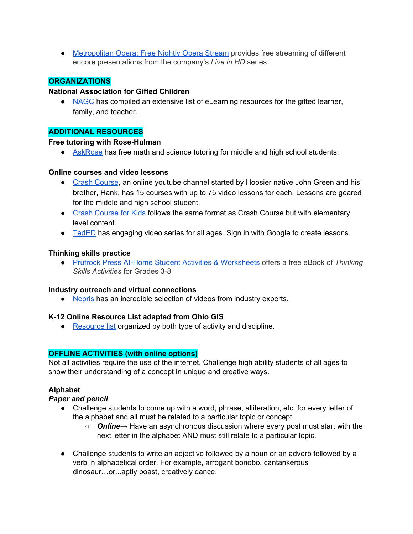**●** [Metropolitan](https://www.metopera.org/) Opera: Free Nightly Opera Stream provides free streaming of different encore presentations from the company's *Live in HD* series.

## **ORGANIZATIONS**

#### **National Association for Gifted Children**

● [NAGC](https://www.nagc.org/resources-educators-parents-during-covid-19) has compiled an extensive list of eLearning resources for the gifted learner, family, and teacher.

#### **ADDITIONAL RESOURCES**

#### **Free tutoring with Rose-Hulman**

**●** [AskRose](https://askrose.org/) has free math and science tutoring for middle and high school students.

#### **Online courses and video lessons**

- **●** Crash [Course,](https://thecrashcourse.com/) an online youtube channel started by Hoosier native John Green and his brother, Hank, has 15 courses with up to 75 video lessons for each. Lessons are geared for the middle and high school student.
- Crash [Course](https://www.youtube.com/user/crashcoursekids) for Kids follows the same format as Crash Course but with elementary level content.
- [TedED](https://ed.ted.com/) has engaging video series for all ages. Sign in with Google to create lessons.

#### **Thinking skills practice**

● Prufrock Press At-Home Student Activities & [Worksheets](http://www.prufrock.com/Assets/ClientPages/pdfs/Thinking-Skills-Activities.pdf) offers a free eBook of *Thinking Skills Activities* for Grades 3-8

#### **Industry outreach and virtual connections**

• [Nepris](https://www.nepris.com/home/v4) has an incredible selection of videos from industry experts.

#### **K-12 Online Resource List adapted from Ohio GIS**

• [Resource](https://drive.google.com/file/d/1vPK9DBnPSsnFbliohwzQqlwgCSvOm_Pd/view?usp=sharing) list organized by both type of activity and discipline.

#### **OFFLINE ACTIVITIES (with online options)**

Not all activities require the use of the internet. Challenge high ability students of all ages to show their understanding of a concept in unique and creative ways.

#### **Alphabet**

#### *Paper and pencil*.

- Challenge students to come up with a word, phrase, alliteration, etc. for every letter of the alphabet and all must be related to a particular topic or concept.
	- *Online*→ Have an asynchronous discussion where every post must start with the next letter in the alphabet AND must still relate to a particular topic.
- Challenge students to write an adjective followed by a noun or an adverb followed by a verb in alphabetical order. For example, arrogant bonobo, cantankerous dinosaur…or...aptly boast, creatively dance.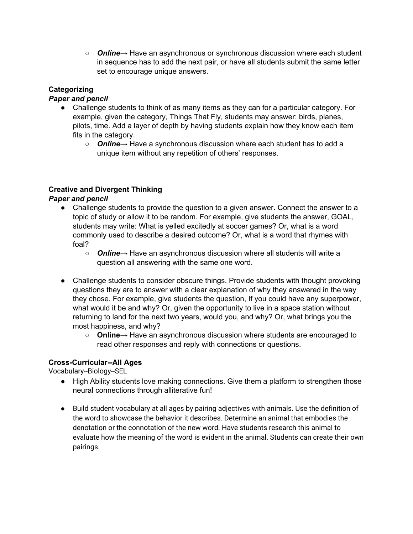○ *Online*→ Have an asynchronous or synchronous discussion where each student in sequence has to add the next pair, or have all students submit the same letter set to encourage unique answers.

# **Categorizing**

## *Paper and pencil*

- Challenge students to think of as many items as they can for a particular category. For example, given the category, Things That Fly, students may answer: birds, planes, pilots, time. Add a layer of depth by having students explain how they know each item fits in the category.
	- *Online*→ Have a synchronous discussion where each student has to add a unique item without any repetition of others' responses.

## **Creative and Divergent Thinking**

## *Paper and pencil*

- Challenge students to provide the question to a given answer. Connect the answer to a topic of study or allow it to be random. For example, give students the answer, GOAL, students may write: What is yelled excitedly at soccer games? Or, what is a word commonly used to describe a desired outcome? Or, what is a word that rhymes with foal?
	- *Online*→ Have an asynchronous discussion where all students will write a question all answering with the same one word.
- Challenge students to consider obscure things. Provide students with thought provoking questions they are to answer with a clear explanation of why they answered in the way they chose. For example, give students the question, If you could have any superpower, what would it be and why? Or, given the opportunity to live in a space station without returning to land for the next two years, would you, and why? Or, what brings you the most happiness, and why?
	- **Online**→ Have an asynchronous discussion where students are encouraged to read other responses and reply with connections or questions.

## **Cross-Curricular--All Ages**

Vocabulary--Biology--SEL

- High Ability students love making connections. Give them a platform to strengthen those neural connections through alliterative fun!
- Build student vocabulary at all ages by pairing adjectives with animals. Use the definition of the word to showcase the behavior it describes. Determine an animal that embodies the denotation or the connotation of the new word. Have students research this animal to evaluate how the meaning of the word is evident in the animal. Students can create their own pairings.